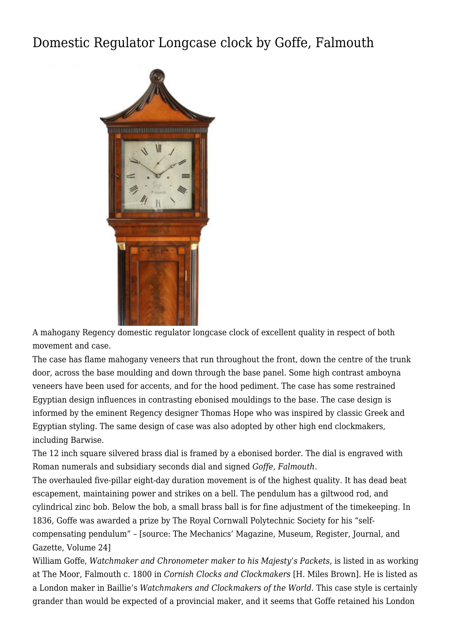## [Domestic Regulator Longcase clock by Goffe, Falmouth](http://www.ukclocks.com/products/domestic-regulator-longcase-clock-by-goffe-falmouth/)



A mahogany Regency domestic regulator longcase clock of excellent quality in respect of both movement and case.

The case has flame mahogany veneers that run throughout the front, down the centre of the trunk door, across the base moulding and down through the base panel. Some high contrast amboyna veneers have been used for accents, and for the hood pediment. The case has some restrained Egyptian design influences in contrasting ebonised mouldings to the base. The case design is informed by the eminent Regency designer Thomas Hope who was inspired by classic Greek and Egyptian styling. The same design of case was also adopted by other high end clockmakers, including Barwise.

The 12 inch square silvered brass dial is framed by a ebonised border. The dial is engraved with Roman numerals and subsidiary seconds dial and signed *Goffe, Falmouth*.

The overhauled five-pillar eight-day duration movement is of the highest quality. It has dead beat escapement, maintaining power and strikes on a bell. The pendulum has a giltwood rod, and cylindrical zinc bob. Below the bob, a small brass ball is for fine adjustment of the timekeeping. In 1836, Goffe was awarded a prize by [The Royal Cornwall Polytechnic Society](https://books.google.co.uk/books?id=fAoAAAAAMAAJ&pg=PA84&lpg=PA84&dq=self-compensating+pendulum+goffe&source=bl&ots=4tR9RXfNbv&sig=ACfU3U3rWZVzXi7hQGO8WeMMxDvHgtpzag&hl=en&sa=X&ved=2ahUKEwjwo5q2l77iAhWVSBUIHRLhCeMQ6AEwDXoECAcQAQ#v=onepage&q=self-compensating%20pendulum%20goffe&f=false) for his "selfcompensating pendulum" – [source: The Mechanics' Magazine, Museum, Register, Journal, and Gazette, Volume 24]

William Goffe, *Watchmaker and Chronometer maker to his Majesty's Packets*, is listed in as working at The Moor, Falmouth c. 1800 in *Cornish Clocks and Clockmakers* [H. Miles Brown]. He is listed as a London maker in Baillie's *Watchmakers and Clockmakers of the World.* This case style is certainly grander than would be expected of a provincial maker, and it seems that Goffe retained his London